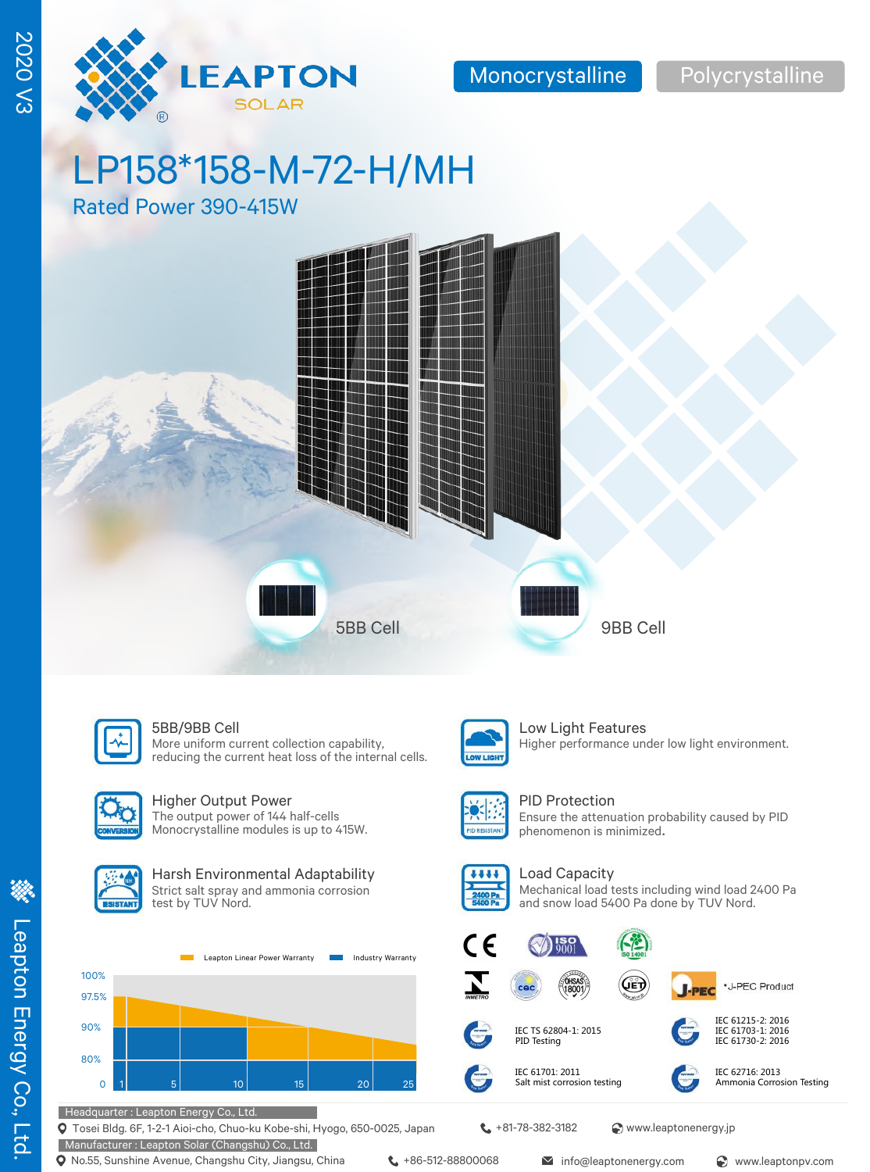

2020 V3

**2020 V3** 

# LP158\*158-M-72-H/MH

Rated Power 390-415W





More uniform current collection capability, reducing the current heat loss of the internal cells.



### Higher Output Power

The output power of 144 half-cells Monocrystalline modules is up to 415W.



### Harsh Environmental Adaptability Strict salt spray and ammonia corrosion

test by TUV Nord.

100% 97.5% 90% 80% 0 1 5 10 15 20 25 Leapton Linear Power Warranty **Industry Warranty**  W Lieu

### **5BB/9BB Cell** Low Light Features Higher performance under low light environment.



PID Protection Ensure the attenuation probability caused by PID phenomenon is minimized.



Load Capacity Mechanical load tests including wind load 2400 Pa and snow load 5400 Pa done by TUV Nord.













IEC 61730-2: 2016

IEC 61701: 2011 Salt mist corrosion testing IEC 62716: 2013

Ammonia Corrosion Testing

Headquarter : Leapton Energy Co., Ltd.

Tosei Bldg. 6F, 1-2-1 Aioi-cho, Chuo-ku Kobe-shi, Hyogo, 650-0025, Japan

Manufacturer : Leapton Solar (Changshu) Co., Ltd.

**t** +81-78-382-3182 <br> **Www.leaptonenergy.jp** 

IEC TS 62804-1: 2015 PID Testing